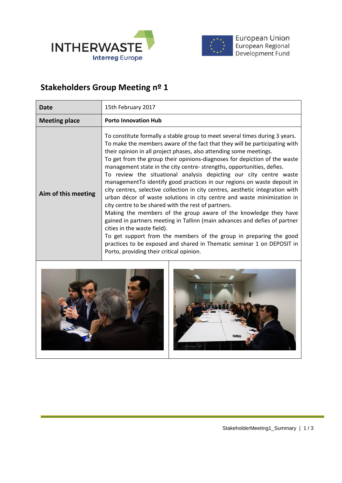



European Union<br>European Regional<br>Development Fund

## **Stakeholders Group Meeting nº 1**

| Date                 | 15th February 2017                                                                                                                                                                                                                                                                                                                                                                                                                                                                                                                                                                                                                                                                                                                                                                                                                                                                                                                                                                                                                                                                                                                      |
|----------------------|-----------------------------------------------------------------------------------------------------------------------------------------------------------------------------------------------------------------------------------------------------------------------------------------------------------------------------------------------------------------------------------------------------------------------------------------------------------------------------------------------------------------------------------------------------------------------------------------------------------------------------------------------------------------------------------------------------------------------------------------------------------------------------------------------------------------------------------------------------------------------------------------------------------------------------------------------------------------------------------------------------------------------------------------------------------------------------------------------------------------------------------------|
| <b>Meeting place</b> | <b>Porto Innovation Hub</b>                                                                                                                                                                                                                                                                                                                                                                                                                                                                                                                                                                                                                                                                                                                                                                                                                                                                                                                                                                                                                                                                                                             |
| Aim of this meeting  | To constitute formally a stable group to meet several times during 3 years.<br>To make the members aware of the fact that they will be participating with<br>their opinion in all project phases, also attending some meetings.<br>To get from the group their opinions-diagnoses for depiction of the waste<br>management state in the city centre-strengths, opportunities, defies.<br>To review the situational analysis depicting our city centre waste<br>managementTo identify good practices in our regions on waste deposit in<br>city centres, selective collection in city centres, aesthetic integration with<br>urban décor of waste solutions in city centre and waste minimization in<br>city centre to be shared with the rest of partners.<br>Making the members of the group aware of the knowledge they have<br>gained in partners meeting in Tallinn (main advances and defies of partner<br>cities in the waste field).<br>To get support from the members of the group in preparing the good<br>practices to be exposed and shared in Thematic seminar 1 on DEPOSIT in<br>Porto, providing their critical opinion. |



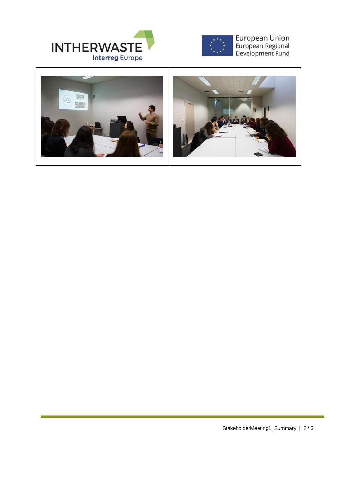



European Union<br>European Regional<br>Development Fund